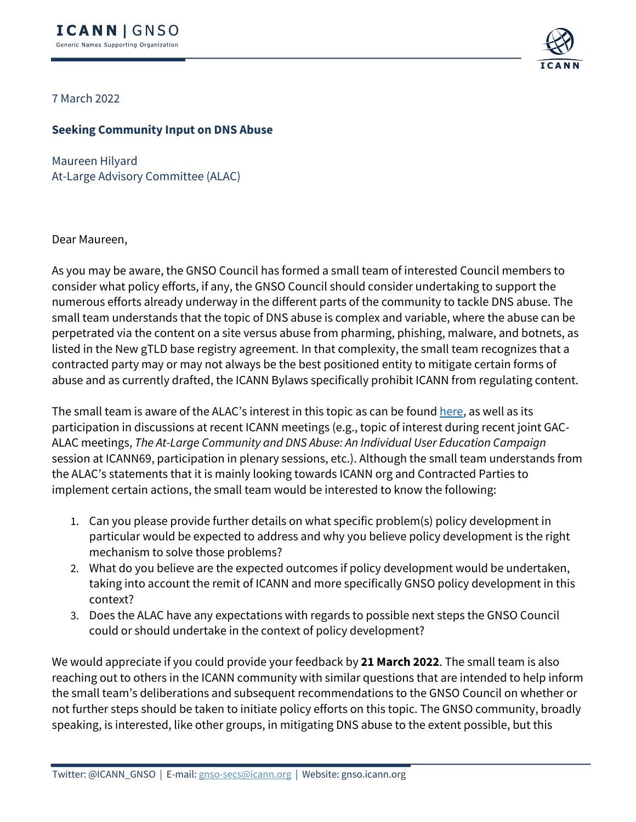

7 March 2022

## **Seeking Community Input on DNS Abuse**

Maureen Hilyard At-Large Advisory Committee (ALAC)

Dear Maureen,

As you may be aware, the GNSO Council has formed a small team of interested Council members to consider what policy efforts, if any, the GNSO Council should consider undertaking to support the numerous efforts already underway in the different parts of the community to tackle DNS abuse. The small team understands that the topic of DNS abuse is complex and variable, where the abuse can be perpetrated via the content on a site versus abuse from pharming, phishing, malware, and botnets, as listed in the New gTLD base registry agreement. In that complexity, the small team recognizes that a contracted party may or may not always be the best positioned entity to mitigate certain forms of abuse and as currently drafted, the ICANN Bylaws specifically prohibit ICANN from regulating content.

The small team is aware of the ALAC's interest in this topic as can be found here, as well as its participation in discussions at recent ICANN meetings (e.g., topic of interest during recent joint GAC-ALAC meetings, *The At-Large Community and DNS Abuse: An Individual User Education Campaign* session at ICANN69, participation in plenary sessions, etc.). Although the small team understands from the ALAC's statements that it is mainly looking towards ICANN org and Contracted Parties to implement certain actions, the small team would be interested to know the following:

- 1. Can you please provide further details on what specific problem(s) policy development in particular would be expected to address and why you believe policy development is the right mechanism to solve those problems?
- 2. What do you believe are the expected outcomes if policy development would be undertaken, taking into account the remit of ICANN and more specifically GNSO policy development in this context?
- 3. Does the ALAC have any expectations with regards to possible next steps the GNSO Council could or should undertake in the context of policy development?

We would appreciate if you could provide your feedback by **21 March 2022**. The small team is also reaching out to others in the ICANN community with similar questions that are intended to help inform the small team's deliberations and subsequent recommendations to the GNSO Council on whether or not further steps should be taken to initiate policy efforts on this topic. The GNSO community, broadly speaking, is interested, like other groups, in mitigating DNS abuse to the extent possible, but this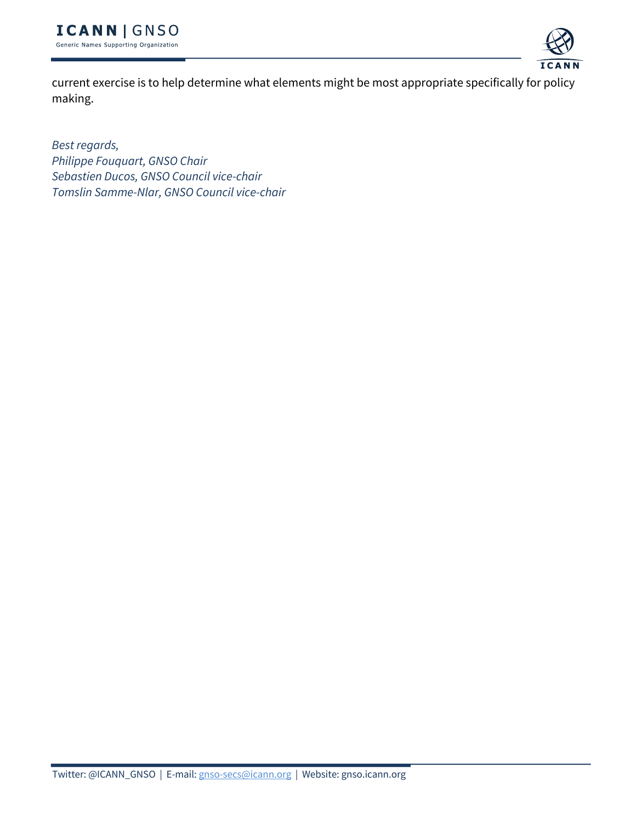

current exercise is to help determine what elements might be most appropriate specifically for policy making.

*Best regards, Philippe Fouquart, GNSO Chair Sebastien Ducos, GNSO Council vice-chair Tomslin Samme-Nlar, GNSO Council vice-chair*